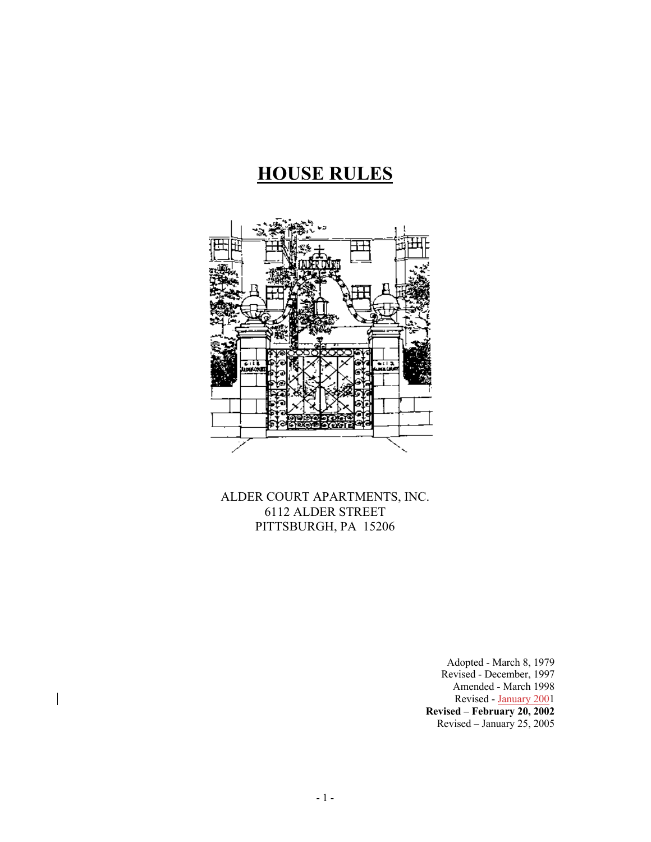# **HOUSE RULES**



ALDER COURT APARTMENTS, INC. 6112 ALDER STREET PITTSBURGH, PA 15206

> Adopted - March 8, 1979 Revised - December, 1997 Amended - March 1998 Revised - January 2001 **Revised – February 20, 2002** Revised – January 25, 2005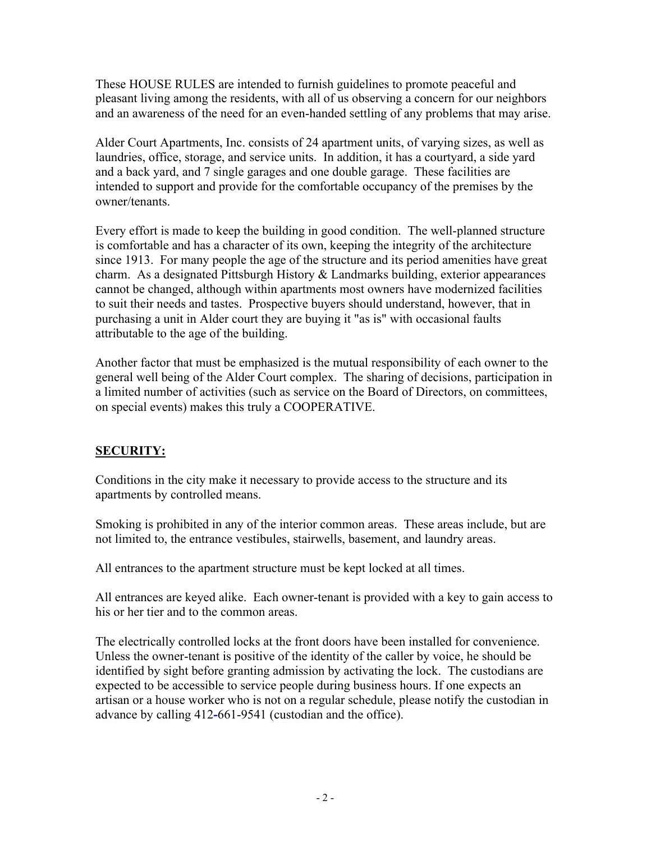These HOUSE RULES are intended to furnish guidelines to promote peaceful and pleasant living among the residents, with all of us observing a concern for our neighbors and an awareness of the need for an even-handed settling of any problems that may arise.

Alder Court Apartments, Inc. consists of 24 apartment units, of varying sizes, as well as laundries, office, storage, and service units. In addition, it has a courtyard, a side yard and a back yard, and 7 single garages and one double garage. These facilities are intended to support and provide for the comfortable occupancy of the premises by the owner/tenants.

Every effort is made to keep the building in good condition. The well-planned structure is comfortable and has a character of its own, keeping the integrity of the architecture since 1913. For many people the age of the structure and its period amenities have great charm. As a designated Pittsburgh History & Landmarks building, exterior appearances cannot be changed, although within apartments most owners have modernized facilities to suit their needs and tastes. Prospective buyers should understand, however, that in purchasing a unit in Alder court they are buying it "as is" with occasional faults attributable to the age of the building.

Another factor that must be emphasized is the mutual responsibility of each owner to the general well being of the Alder Court complex. The sharing of decisions, participation in a limited number of activities (such as service on the Board of Directors, on committees, on special events) makes this truly a COOPERATIVE.

## **SECURITY:**

Conditions in the city make it necessary to provide access to the structure and its apartments by controlled means.

Smoking is prohibited in any of the interior common areas. These areas include, but are not limited to, the entrance vestibules, stairwells, basement, and laundry areas.

All entrances to the apartment structure must be kept locked at all times.

All entrances are keyed alike. Each owner-tenant is provided with a key to gain access to his or her tier and to the common areas.

The electrically controlled locks at the front doors have been installed for convenience. Unless the owner-tenant is positive of the identity of the caller by voice, he should be identified by sight before granting admission by activating the lock. The custodians are expected to be accessible to service people during business hours. If one expects an artisan or a house worker who is not on a regular schedule, please notify the custodian in advance by calling 412**-**661-9541 (custodian and the office).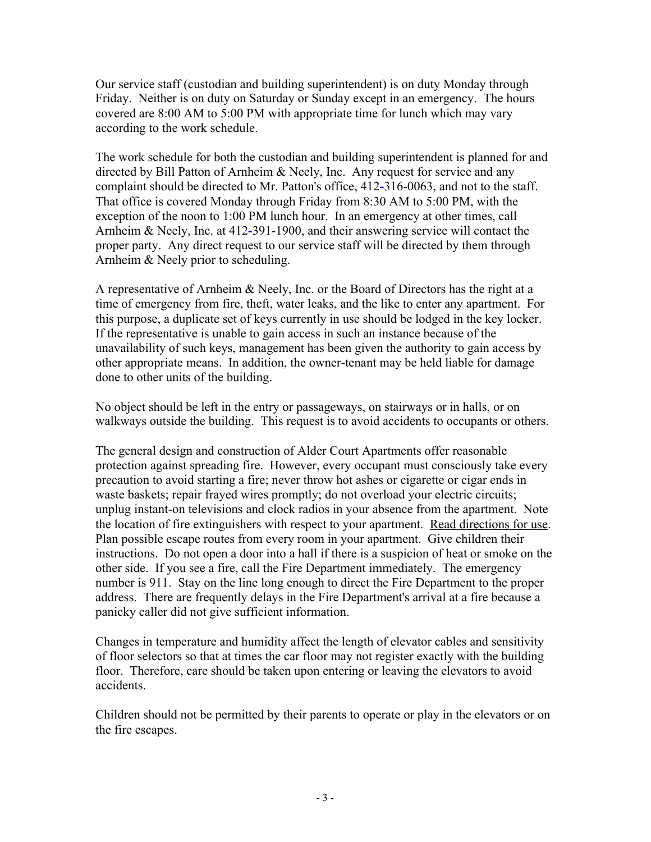Our service staff (custodian and building superintendent) is on duty Monday through Friday. Neither is on duty on Saturday or Sunday except in an emergency.The hours covered are 8:00 AM to 5:00 PM with appropriate time for lunch which may vary according to the work schedule.

The work schedule for both the custodian and building superintendent is planned for and directed by Bill Patton of Arnheim & Neely, Inc. Any request for service and any complaint should be directed to Mr. Patton's office, 412**-**316-0063, and not to the staff. That office is covered Monday through Friday from 8:30 AM to 5:00 PM, with the exception of the noon to 1:00 PM lunch hour. In an emergency at other times, call Arnheim & Neely, Inc. at 412**-**391-1900, and their answering service will contact the proper party. Any direct request to our service staff will be directed by them through Arnheim & Neely prior to scheduling.

A representative of Arnheim & Neely, Inc. or the Board of Directors has the right at a time of emergency from fire, theft, water leaks, and the like to enter any apartment. For this purpose, a duplicate set of keys currently in use should be lodged in the key locker. If the representative is unable to gain access in such an instance because of the unavailability of such keys, management has been given the authority to gain access by other appropriate means. In addition, the owner-tenant may be held liable for damage done to other units of the building.

No object should be left in the entry or passageways, on stairways or in halls, or on walkways outside the building. This request is to avoid accidents to occupants or others.

The general design and construction of Alder Court Apartments offer reasonable protection against spreading fire. However, every occupant must consciously take every precaution to avoid starting a fire; never throw hot ashes or cigarette or cigar ends in waste baskets; repair frayed wires promptly; do not overload your electric circuits; unplug instant-on televisions and clock radios in your absence from the apartment. Note the location of fire extinguishers with respect to your apartment. Read directions for use. Plan possible escape routes from every room in your apartment. Give children their instructions. Do not open a door into a hall if there is a suspicion of heat or smoke on the other side. If you see a fire, call the Fire Department immediately. The emergency number is 911. Stay on the line long enough to direct the Fire Department to the proper address. There are frequently delays in the Fire Department's arrival at a fire because a panicky caller did not give sufficient information.

Changes in temperature and humidity affect the length of elevator cables and sensitivity of floor selectors so that at times the car floor may not register exactly with the building floor. Therefore, care should be taken upon entering or leaving the elevators to avoid accidents.

Children should not be permitted by their parents to operate or play in the elevators or on the fire escapes.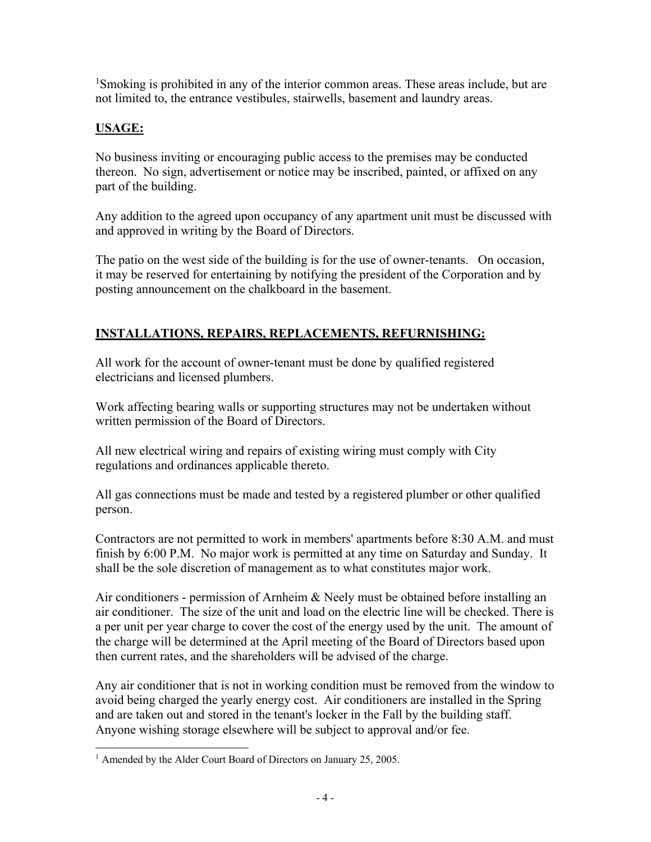<sup>1</sup>Smoking is prohibited in any of the interior common areas. These areas include, but are not limited to, the entrance vestibules, stairwells, basement and laundry areas.

## **USAGE:**

No business inviting or encouraging public access to the premises may be conducted thereon. No sign, advertisement or notice may be inscribed, painted, or affixed on any part of the building.

Any addition to the agreed upon occupancy of any apartment unit must be discussed with and approved in writing by the Board of Directors.

The patio on the west side of the building is for the use of owner-tenants. On occasion, it may be reserved for entertaining by notifying the president of the Corporation and by posting announcement on the chalkboard in the basement.

## **INSTALLATIONS, REPAIRS, REPLACEMENTS, REFURNISHING:**

All work for the account of owner-tenant must be done by qualified registered electricians and licensed plumbers.

Work affecting bearing walls or supporting structures may not be undertaken without written permission of the Board of Directors.

All new electrical wiring and repairs of existing wiring must comply with City regulations and ordinances applicable thereto.

All gas connections must be made and tested by a registered plumber or other qualified person.

Contractors are not permitted to work in members' apartments before 8:30 A.M. and must finish by 6:00 P.M. No major work is permitted at any time on Saturday and Sunday. It shall be the sole discretion of management as to what constitutes major work.

Air conditioners - permission of Arnheim & Neely must be obtained before installing an air conditioner. The size of the unit and load on the electric line will be checked. There is a per unit per year charge to cover the cost of the energy used by the unit. The amount of the charge will be determined at the April meeting of the Board of Directors based upon then current rates, and the shareholders will be advised of the charge.

Any air conditioner that is not in working condition must be removed from the window to avoid being charged the yearly energy cost. Air conditioners are installed in the Spring and are taken out and stored in the tenant's locker in the Fall by the building staff. Anyone wishing storage elsewhere will be subject to approval and/or fee.

<sup>&</sup>lt;sup>1</sup> Amended by the Alder Court Board of Directors on January 25, 2005.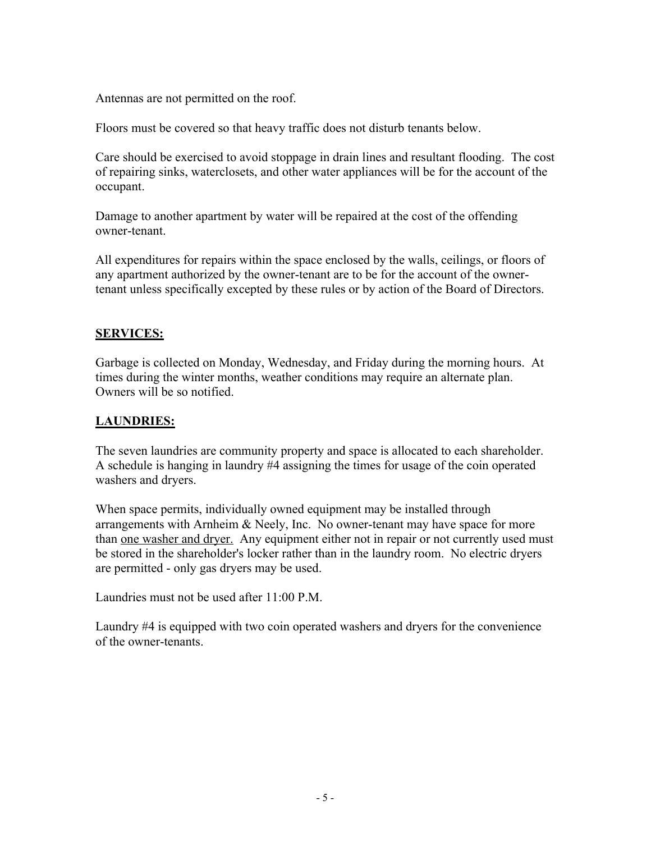Antennas are not permitted on the roof.

Floors must be covered so that heavy traffic does not disturb tenants below.

Care should be exercised to avoid stoppage in drain lines and resultant flooding. The cost of repairing sinks, waterclosets, and other water appliances will be for the account of the occupant.

Damage to another apartment by water will be repaired at the cost of the offending owner-tenant.

All expenditures for repairs within the space enclosed by the walls, ceilings, or floors of any apartment authorized by the owner-tenant are to be for the account of the ownertenant unless specifically excepted by these rules or by action of the Board of Directors.

#### **SERVICES:**

Garbage is collected on Monday, Wednesday, and Friday during the morning hours. At times during the winter months, weather conditions may require an alternate plan. Owners will be so notified.

#### **LAUNDRIES:**

The seven laundries are community property and space is allocated to each shareholder. A schedule is hanging in laundry #4 assigning the times for usage of the coin operated washers and dryers.

When space permits, individually owned equipment may be installed through arrangements with Arnheim & Neely, Inc. No owner-tenant may have space for more than one washer and dryer. Any equipment either not in repair or not currently used must be stored in the shareholder's locker rather than in the laundry room. No electric dryers are permitted - only gas dryers may be used.

Laundries must not be used after 11:00 P.M.

Laundry #4 is equipped with two coin operated washers and dryers for the convenience of the owner-tenants.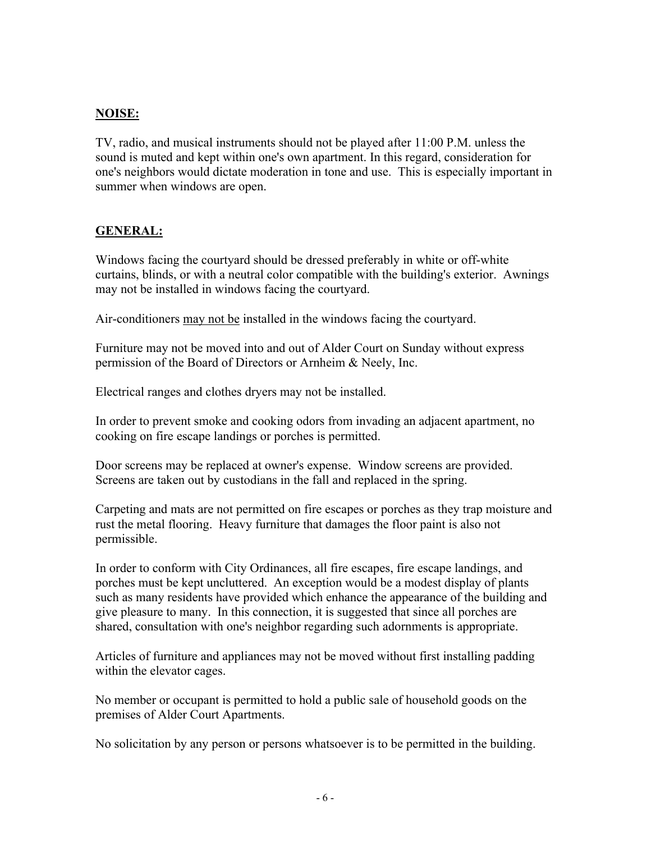#### **NOISE:**

TV, radio, and musical instruments should not be played after 11:00 P.M. unless the sound is muted and kept within one's own apartment. In this regard, consideration for one's neighbors would dictate moderation in tone and use. This is especially important in summer when windows are open.

#### **GENERAL:**

Windows facing the courtyard should be dressed preferably in white or off-white curtains, blinds, or with a neutral color compatible with the building's exterior. Awnings may not be installed in windows facing the courtyard.

Air-conditioners may not be installed in the windows facing the courtyard.

Furniture may not be moved into and out of Alder Court on Sunday without express permission of the Board of Directors or Arnheim & Neely, Inc.

Electrical ranges and clothes dryers may not be installed.

In order to prevent smoke and cooking odors from invading an adjacent apartment, no cooking on fire escape landings or porches is permitted.

Door screens may be replaced at owner's expense. Window screens are provided. Screens are taken out by custodians in the fall and replaced in the spring.

Carpeting and mats are not permitted on fire escapes or porches as they trap moisture and rust the metal flooring. Heavy furniture that damages the floor paint is also not permissible.

In order to conform with City Ordinances, all fire escapes, fire escape landings, and porches must be kept uncluttered. An exception would be a modest display of plants such as many residents have provided which enhance the appearance of the building and give pleasure to many. In this connection, it is suggested that since all porches are shared, consultation with one's neighbor regarding such adornments is appropriate.

Articles of furniture and appliances may not be moved without first installing padding within the elevator cages.

No member or occupant is permitted to hold a public sale of household goods on the premises of Alder Court Apartments.

No solicitation by any person or persons whatsoever is to be permitted in the building.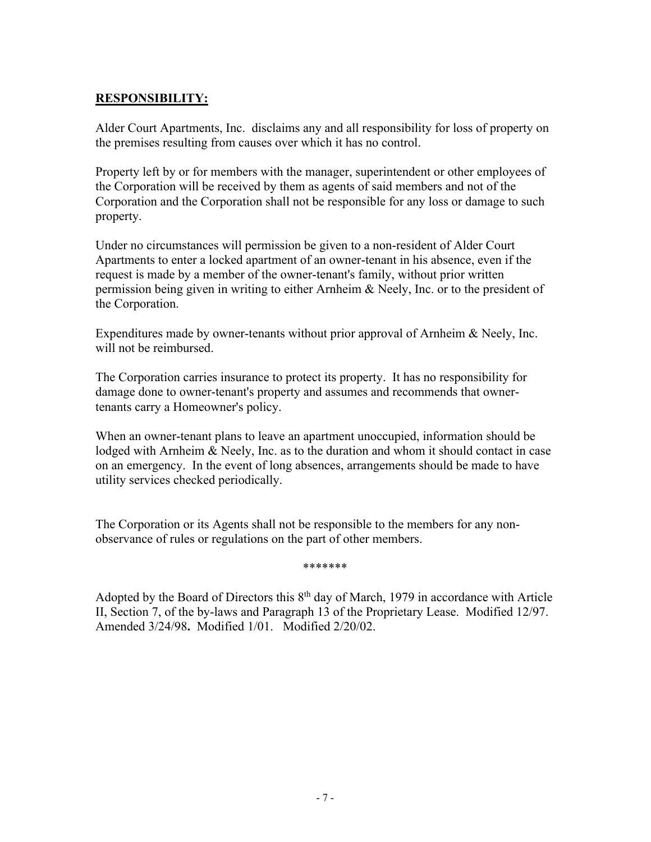#### **RESPONSIBILITY:**

Alder Court Apartments, Inc. disclaims any and all responsibility for loss of property on the premises resulting from causes over which it has no control.

Property left by or for members with the manager, superintendent or other employees of the Corporation will be received by them as agents of said members and not of the Corporation and the Corporation shall not be responsible for any loss or damage to such property.

Under no circumstances will permission be given to a non-resident of Alder Court Apartments to enter a locked apartment of an owner-tenant in his absence, even if the request is made by a member of the owner-tenant's family, without prior written permission being given in writing to either Arnheim & Neely, Inc. or to the president of the Corporation.

Expenditures made by owner-tenants without prior approval of Arnheim & Neely, Inc. will not be reimbursed.

The Corporation carries insurance to protect its property. It has no responsibility for damage done to owner-tenant's property and assumes and recommends that ownertenants carry a Homeowner's policy.

When an owner-tenant plans to leave an apartment unoccupied, information should be lodged with Arnheim & Neely, Inc. as to the duration and whom it should contact in case on an emergency. In the event of long absences, arrangements should be made to have utility services checked periodically.

The Corporation or its Agents shall not be responsible to the members for any nonobservance of rules or regulations on the part of other members.

\*\*\*\*\*\*\*

Adopted by the Board of Directors this  $8<sup>th</sup>$  day of March, 1979 in accordance with Article II, Section 7, of the by-laws and Paragraph 13 of the Proprietary Lease. Modified 12/97. Amended 3/24/98**.** Modified 1/01. Modified 2/20/02.